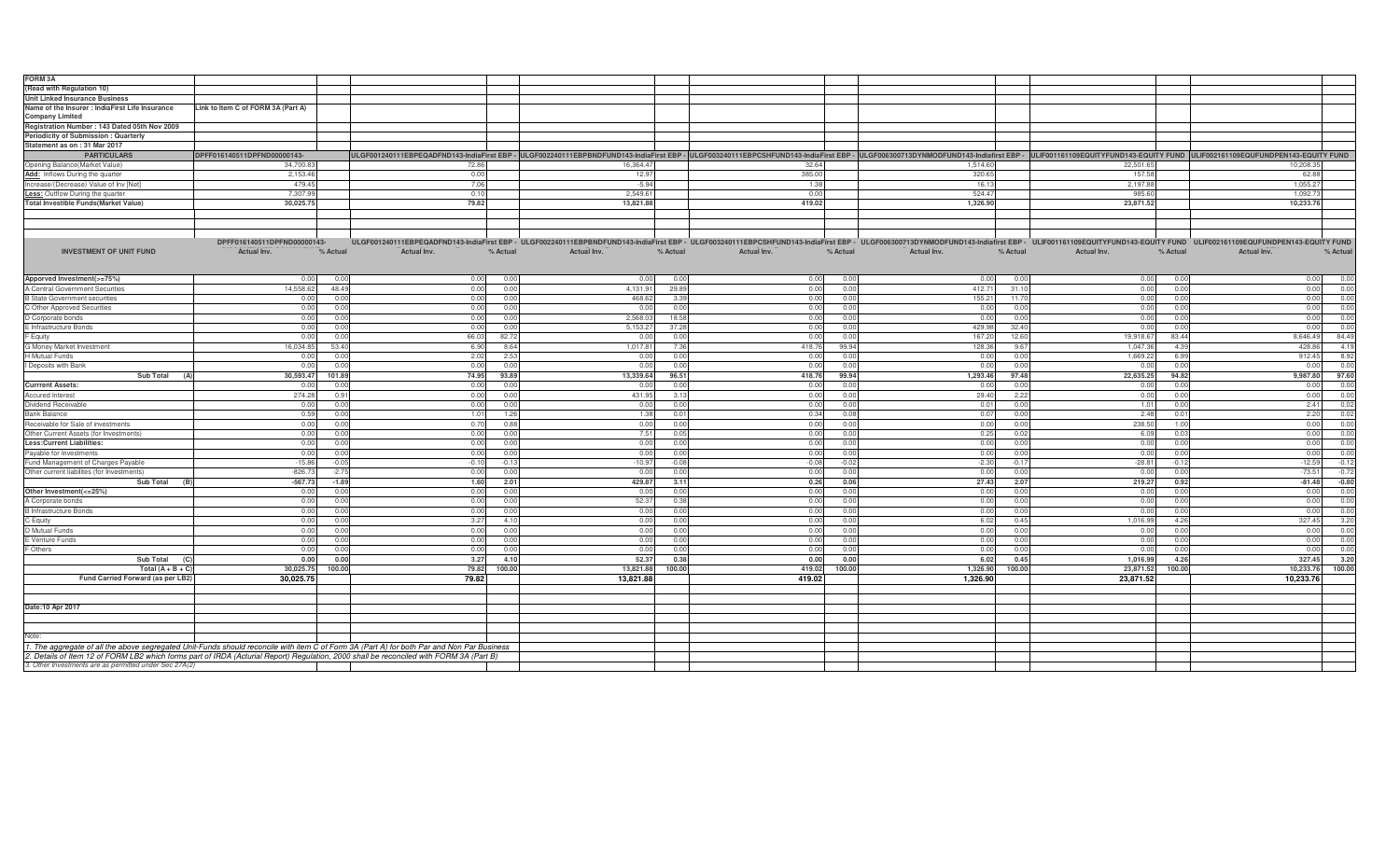| FORM 3A                                                |                                    |                                                                                                                                            |             |          |             |          |                                                                                                                                                                                                                                |             |                |             |          |
|--------------------------------------------------------|------------------------------------|--------------------------------------------------------------------------------------------------------------------------------------------|-------------|----------|-------------|----------|--------------------------------------------------------------------------------------------------------------------------------------------------------------------------------------------------------------------------------|-------------|----------------|-------------|----------|
| Read with Regulation 10)                               |                                    |                                                                                                                                            |             |          |             |          |                                                                                                                                                                                                                                |             |                |             |          |
| Unit Linked Insurance Business                         |                                    |                                                                                                                                            |             |          |             |          |                                                                                                                                                                                                                                |             |                |             |          |
| Name of the Insurer : IndiaFirst Life Insurance        | Link to Item C of FORM 3A (Part A) |                                                                                                                                            |             |          |             |          |                                                                                                                                                                                                                                |             |                |             |          |
| <b>Company Limited</b>                                 |                                    |                                                                                                                                            |             |          |             |          |                                                                                                                                                                                                                                |             |                |             |          |
| Registration Number: 143 Dated 05th Nov 2009           |                                    |                                                                                                                                            |             |          |             |          |                                                                                                                                                                                                                                |             |                |             |          |
| Periodicity of Submission: Quarterly                   |                                    |                                                                                                                                            |             |          |             |          |                                                                                                                                                                                                                                |             |                |             |          |
| Statement as on: 31 Mar 2017                           |                                    |                                                                                                                                            |             |          |             |          |                                                                                                                                                                                                                                |             |                |             |          |
|                                                        |                                    |                                                                                                                                            |             |          |             |          |                                                                                                                                                                                                                                |             |                |             |          |
| <b>PARTICULARS</b>                                     | DPFF016140511DPFND00000143-        |                                                                                                                                            |             |          |             |          | ULGF001240111EBPEQADFND143-IndiaFirst EBP - ULGF002240111EBPBNDFUND143-IndiaFirst EBP - ULGF003240111EBPCSHFUND143-IndiaFirst EBP - ULGF0063240111EBPCSHFUND143-IndiaFirst EBP - ULGF006300713DYNMODFUND143-Indiafirst EBP - U |             |                |             |          |
| Opening Balance(Market Value)                          | 34,700.83                          | 72.86                                                                                                                                      | 16,364.47   |          | 32.64       |          | 1,514.60                                                                                                                                                                                                                       | 22,501.65   |                | 10,208.35   |          |
| Add: Inflows During the quarter                        | 2,153.46                           | 0.00                                                                                                                                       | 12.97       |          | 385.00      |          | 320.65                                                                                                                                                                                                                         | 157.58      |                | 62.88       |          |
| Increase/(Decrease) Value of Inv [Net]                 | 479.45                             | 7.06                                                                                                                                       | $-5.94$     |          | 1.38        |          | 16.13                                                                                                                                                                                                                          | 2.197.88    |                | 1.055.27    |          |
| <b>Less:</b> Outflow During the quarter                | 7,307.99                           | 0.10                                                                                                                                       | 2,549.61    |          | 0.00        |          | 524.47                                                                                                                                                                                                                         | 985.60      |                | 1,092.73    |          |
| <b>Total Investible Funds(Market Value)</b>            | 30,025.75                          | 79.82                                                                                                                                      | 13,821.88   |          | 419.02      |          | 1,326.90                                                                                                                                                                                                                       | 23,871.52   |                | 10,233.76   |          |
|                                                        |                                    |                                                                                                                                            |             |          |             |          |                                                                                                                                                                                                                                |             |                |             |          |
|                                                        |                                    |                                                                                                                                            |             |          |             |          |                                                                                                                                                                                                                                |             |                |             |          |
|                                                        |                                    |                                                                                                                                            |             |          |             |          |                                                                                                                                                                                                                                |             |                |             |          |
|                                                        | DPFF016140511DPFND00000143-        |                                                                                                                                            |             |          |             |          | ULGF001240111EBPEQADFND143-IndiaFirst EBP - ULGF002240111EBPBNDFUND143-IndiaFirst EBP - ULGF003240111EBPCSHFUND143-IndiaFirst EBP - ULGF006300713DYNMODFUND143-Indiafirst EBP - ULF001161109EQUITYFUND143-EQUITY FUND ULIF0021 |             |                |             |          |
| <b>INVESTMENT OF UNIT FUND</b>                         | Actual Inv.<br>% Actual            | Actual Inv.<br>% Actual                                                                                                                    | Actual Inv. | % Actual | Actual Inv. | % Actual | Actual Inv.<br>% Actual                                                                                                                                                                                                        | Actual Inv. | % Actual       | Actual Inv. | % Actual |
|                                                        |                                    |                                                                                                                                            |             |          |             |          |                                                                                                                                                                                                                                |             |                |             |          |
|                                                        |                                    |                                                                                                                                            |             |          |             |          |                                                                                                                                                                                                                                |             |                |             |          |
| Apporved Investment(>=75%)                             | 0.00                               | 0.00<br>0.00<br>0.00                                                                                                                       | 0.00        | 0.00     | 0.00        | 0.00     | 0.00<br>0.0                                                                                                                                                                                                                    | 0.00        | 0.0            | 0.00        | 0.00     |
| A Central Government Securities                        | 14.558.62                          | 48.49<br>0.00<br>0.00                                                                                                                      | 4,131.91    | 29.89    | 0.00        | 0.00     | 412.71<br>31.7                                                                                                                                                                                                                 | 0.00        | 0.0            | 0.00        | 0.00     |
| <b>B State Government securities</b>                   | 0.00                               | 0.00<br>0.00<br>0.00                                                                                                                       | 468.62      | 3.39     | 0.00        | 0.00     | 155.21<br>$-11.7$                                                                                                                                                                                                              | 0.00        | 0 <sub>0</sub> | 0.00        | 0.00     |
| C Other Approved Securities                            | 0.00                               | 0.00<br>0.00<br>0.00                                                                                                                       | 0.00        | 0.00     | 0.00        | 0.00     | 0.00<br>0.0                                                                                                                                                                                                                    | 0.00        | 0.01           | 0.00        | 0.00     |
|                                                        |                                    |                                                                                                                                            |             |          |             |          |                                                                                                                                                                                                                                |             |                |             |          |
| Corporate bonds                                        | 0.00                               | 0.0(<br>0.00<br>0.00                                                                                                                       | 2,568.0     | 18.58    | 0.00        | 0.00     | 0.00<br>0.0                                                                                                                                                                                                                    | 0.00        | 0.0            | 0.00        | 0.00     |
| E Infrastructure Bonds                                 | 0.00                               | 0.00<br>0.00<br>0.0                                                                                                                        | 5,153.27    | 37.28    | 0.00        | 0.00     | 429.98<br>32.4                                                                                                                                                                                                                 | 0.00        | 0.0            | 0.00        | 0.00     |
| Equity                                                 | 0.00                               | 66.03<br>82.7<br>0.00                                                                                                                      | 0.00        | 0.00     | 0.00        | 0.00     | 167.20<br>12.6                                                                                                                                                                                                                 | 19,918.67   | 83.44          | 8,646.49    | 84.49    |
| G Money Market Investment                              | 16.034.8                           | 53.40<br>6.90<br>8.64                                                                                                                      | 1.017.8     | 7.36     | 418.76      | 99.94    | 128.36<br>96                                                                                                                                                                                                                   | 1.047.3     | 43             | 428.86      | 4.19     |
| H Mutual Funds                                         | 0.00                               | 2.02<br>2.53<br>0.00                                                                                                                       | 0.00        | 0.00     | 0.00        | 0.00     | 0.00<br>0.0                                                                                                                                                                                                                    | 1,669.22    | 6.99           | 912.45      | 8.92     |
| Deposits with Bank                                     | 0.00                               | 0.00<br>0.00<br>0.00                                                                                                                       | 0.00        | 0.00     | 0.00        | 0.00     | 0.00<br>0.0                                                                                                                                                                                                                    | 0.00        | 0.0            | 0.00        | 0.00     |
| <b>Sub Total</b><br>(A)                                | 30,593.47<br>101.89                | 74.95<br>93.89                                                                                                                             | 13,339.64   | 96.51    | 418.76      | 99.94    | 1,293.46<br>97.48                                                                                                                                                                                                              | 22,635.25   | 94.82          | 9,987.80    | 97.60    |
| <b>Currrent Assets:</b>                                | 0.0                                | 0.00<br>0.0<br>0.01                                                                                                                        | 0.0         | 0.00     | 0.00        | 0.00     | 0.00                                                                                                                                                                                                                           | 0.00        |                | 0.00        | 0.00     |
| <b>Accured Interest</b>                                | 274.28                             | 0.00<br>0.9<br>0.00                                                                                                                        | 431.9       | 3.13     | 0.00        | 0.00     | 29.40<br>2.22                                                                                                                                                                                                                  | 0.00        | 0.0            | 0.00        | 0.00     |
| Dividend Receivable                                    | 0.00                               | 0.00<br>0.00<br>0.00                                                                                                                       | 0.00        | 0.00     | 0.00        | 0.00     | 0.01<br>0.0                                                                                                                                                                                                                    | 1.01        | 0.0            | 2.41        | 0.02     |
| <b>Bank Balance</b>                                    | 0.59                               | 0.00<br>1.01<br>1.26                                                                                                                       | 1.38        | 0.01     | 0.34        | 0.08     | 0.07<br>0 <sup>c</sup>                                                                                                                                                                                                         | 2.48        | 0 <sup>0</sup> | 2.20        | 0.02     |
| Receivable for Sale of investments                     | 0.00                               | 0.0(<br>0.70<br>0.81                                                                                                                       | 0.00        | 0.00     | 0.00        | 0.00     | 0.00<br>0.0                                                                                                                                                                                                                    | 238.50      | 1.0            | 0.00        | 0.00     |
| Other Current Assets (for Investments)                 | 0.00                               | 0.00<br>0.00<br>0.00                                                                                                                       | 7.51        | 0.05     | 0.00        | 0.00     | 0.25                                                                                                                                                                                                                           | 6.09        | n r            | 0.00        | 0.00     |
| <b>Less:Current Liabilities:</b>                       | 0.00                               | 0.0(<br>0.00<br>0.01                                                                                                                       | 0.00        | 0.00     | 0.00        | 0.00     | 0.00<br>0.0                                                                                                                                                                                                                    | 0.00        | 0.0            | 0.00        | 0.00     |
| Payable for Investments                                | 0.00                               | 0.00<br>0.00<br>0.00                                                                                                                       | 0.00        | 0.00     | 0.00        | 0.00     | 0.00<br>0.01                                                                                                                                                                                                                   | 0.00        | 0.0            | 0.00        | 0.00     |
| und Management of Charges Payable                      | $-15.86$                           | $-0.10$<br>$-0.05$<br>$-0.13$                                                                                                              | $-10.97$    | $-0.08$  | $-0.08$     | $-0.02$  | $-2.30$<br>$-0.1$                                                                                                                                                                                                              | $-28.81$    | $-0.1$         | $-12.59$    | $-0.12$  |
| Other current liabilites (for Investments)             | $-826.73$                          | $-2.75$<br>0.00<br>0.00                                                                                                                    | 0.00        | 0.00     | 0.00        | 0.00     | 0.00<br>0.0                                                                                                                                                                                                                    | 0.00        | 0.01           | $-73.51$    | $-0.72$  |
|                                                        |                                    |                                                                                                                                            |             |          |             |          |                                                                                                                                                                                                                                |             |                |             |          |
| <b>Sub Total</b>                                       | $-567.73$                          | $-1.89$<br>1.60<br>2.01                                                                                                                    | 429.87      | 3.11     | 0.26        | 0.06     | 27.43<br>2.07                                                                                                                                                                                                                  | 219.27      | 0.92           | $-81.48$    | $-0.80$  |
| Other Investment(<=25%)                                | 0.00                               | 0.0(<br>0.00<br>0.01                                                                                                                       | 0.00        | 0.00     | 0.00        | 0.00     | 0.00<br>0.0                                                                                                                                                                                                                    | 0.00        | 0.01           | 0.00        | 0.00     |
| A Corporate bonds                                      | 0.00                               | 0.00<br>0.00<br>0.00                                                                                                                       | 52.37       | 0.38     | 0.00        | 0.00     | 0.00<br>0.0                                                                                                                                                                                                                    | 0.00        | 0.0            | 0.00        | 0.00     |
| B Infrastructure Bonds                                 | 0.00                               | 0.00<br>0.00<br>0.00                                                                                                                       | 0.00        | 0.00     | 0.00        | 0.00     | 0.00<br>n r                                                                                                                                                                                                                    | 0.00        | n r            | 0.00        | 0.00     |
| C Equity                                               | 0.00                               | 41<br>0.00<br>3.27                                                                                                                         | 0.00        | 0.00     | 0.00        | 0.00     | 6.02<br>0.45                                                                                                                                                                                                                   | 1.016.99    | 4.26           | 327.45      | 3.20     |
| D Mutual Funds                                         | 0.00                               | 0.00<br>0.00<br>0.00                                                                                                                       | 0.00        | 0.00     | 0.00        | 0.00     | 0.00<br>0.0                                                                                                                                                                                                                    | 0.00        | 0.0            | 0.00        | 0.00     |
| E Venture Funds                                        | 0.00                               | 0.00<br>0.00<br>0.00                                                                                                                       | 0.00        | 0.00     | 0.00        | 0.00     | 0.00<br>0.00                                                                                                                                                                                                                   | 0.00        | 0.0            | 0.00        | 0.00     |
| Others                                                 | 0.00                               | 0.00<br>0.00<br>0.00                                                                                                                       | 0.00        | 0.00     | 0.00        | 0.00     | 0.00<br>0.0                                                                                                                                                                                                                    | 0.00        | 0.01           | 0.00        | 0.00     |
| Sub Total                                              | 0.00                               | 0.00<br>3.27<br>4.10                                                                                                                       | 52.37       | 0.38     | 0.00        | 0.00     | 6.02<br>0.45                                                                                                                                                                                                                   | 1,016.99    | 4.26           | 327.45      | 3.20     |
| Total $(A + B + C)$                                    | 30,025.75                          | 100.00<br>79.82<br>100.00                                                                                                                  | 13,821.88   | 100.00   | 419.02      | 100.00   | 1,326.90<br>100.00                                                                                                                                                                                                             | 23,871.52   | 100.00         | 10,233.76   | 100.00   |
| Fund Carried Forward (as per LB2)                      | 30,025.75                          | 79.82                                                                                                                                      | 13,821.88   |          | 419.02      |          | 1,326.90                                                                                                                                                                                                                       | 23,871.52   |                | 10,233.76   |          |
|                                                        |                                    |                                                                                                                                            |             |          |             |          |                                                                                                                                                                                                                                |             |                |             |          |
|                                                        |                                    |                                                                                                                                            |             |          |             |          |                                                                                                                                                                                                                                |             |                |             |          |
| Date:10 Apr 2017                                       |                                    |                                                                                                                                            |             |          |             |          |                                                                                                                                                                                                                                |             |                |             |          |
|                                                        |                                    |                                                                                                                                            |             |          |             |          |                                                                                                                                                                                                                                |             |                |             |          |
|                                                        |                                    |                                                                                                                                            |             |          |             |          |                                                                                                                                                                                                                                |             |                |             |          |
|                                                        |                                    |                                                                                                                                            |             |          |             |          |                                                                                                                                                                                                                                |             |                |             |          |
| Note:                                                  |                                    |                                                                                                                                            |             |          |             |          |                                                                                                                                                                                                                                |             |                |             |          |
|                                                        |                                    | 1. The aggregate of all the above segregated Unit-Funds should reconcile with item C of Form 3A (Part A) for both Par and Non Par Business |             |          |             |          |                                                                                                                                                                                                                                |             |                |             |          |
|                                                        |                                    | 2. Details of Item 12 of FORM LB2 which forms part of IRDA (Acturial Report) Regulation, 2000 shall be reconciled with FORM 3A (Part B)    |             |          |             |          |                                                                                                                                                                                                                                |             |                |             |          |
| 3. Other Investments are as permitted under Sec 27A(2) |                                    |                                                                                                                                            |             |          |             |          |                                                                                                                                                                                                                                |             |                |             |          |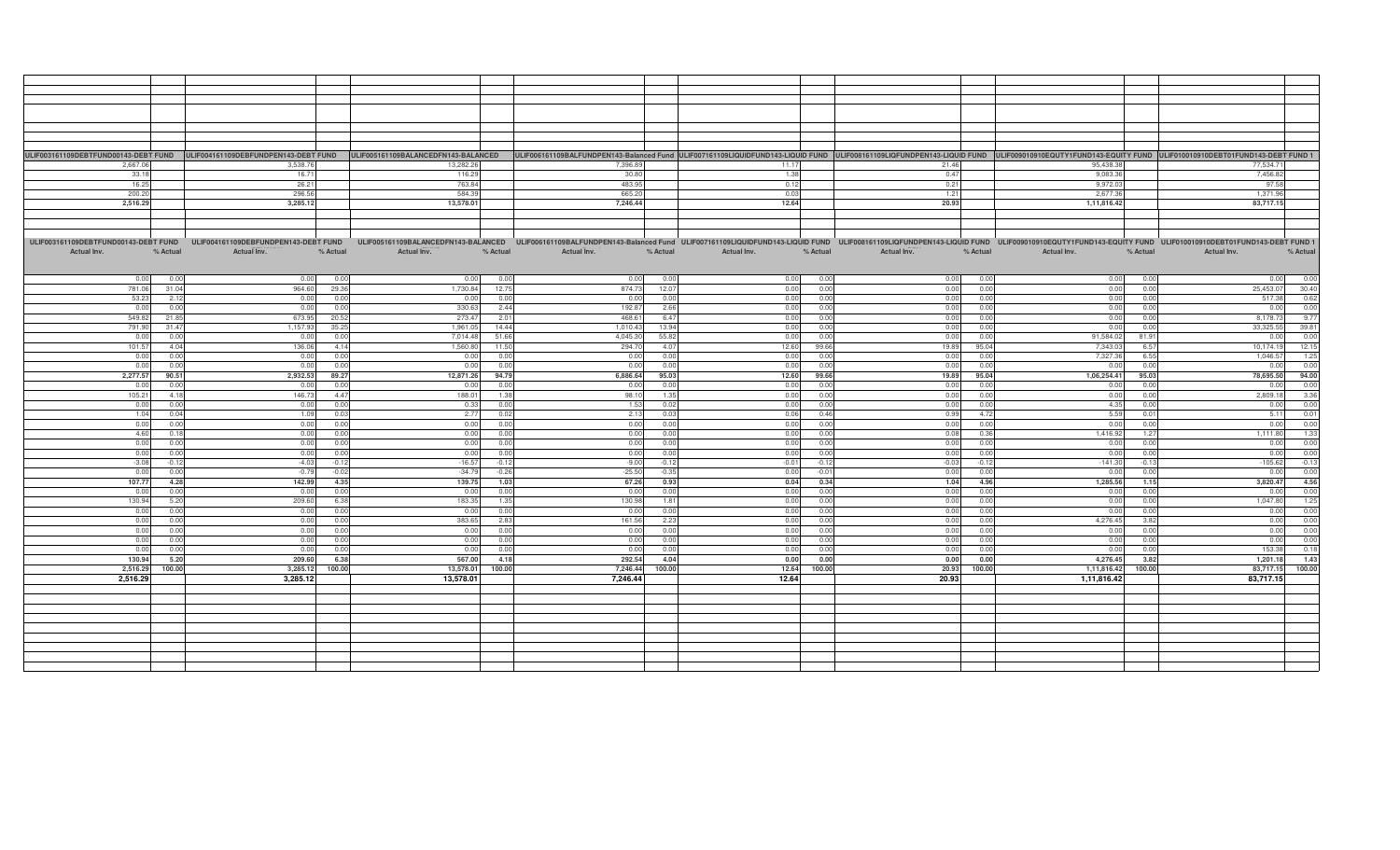| ULIF003161109DEBTFUND00143-DEBT FUND ULIF004161109DEBFUNDPEN143-DEBT FUND ULIF005161109BALANCEDFN143-BALANCEDFN143-BALANCED ULIF006161109BALANCED ULIF006161109BALANCED ULIF006161109BALANCED ULIF006161109BALFUNDPEN143-Balan |          |             |          |                |          |                                                                                                                                                                                                                                |          |             |          |             |          |             |          |             |          |
|--------------------------------------------------------------------------------------------------------------------------------------------------------------------------------------------------------------------------------|----------|-------------|----------|----------------|----------|--------------------------------------------------------------------------------------------------------------------------------------------------------------------------------------------------------------------------------|----------|-------------|----------|-------------|----------|-------------|----------|-------------|----------|
| 2.667.06                                                                                                                                                                                                                       |          | 3,538.76    |          | 13,282.26      |          | 7,396.89                                                                                                                                                                                                                       |          | 11.17       |          | 21.46       |          | 95,438.38   |          | 77.534.71   |          |
| 33.18                                                                                                                                                                                                                          |          | 16.71       |          | 116.29         |          | 30.80                                                                                                                                                                                                                          |          | 1.38        |          | 0.47        |          | 9,083.36    |          | 7,456.82    |          |
|                                                                                                                                                                                                                                |          |             |          |                |          |                                                                                                                                                                                                                                |          |             |          |             |          |             |          |             |          |
| 16.25                                                                                                                                                                                                                          |          | 26.21       |          | 763.84         |          | 483.95                                                                                                                                                                                                                         |          | 0.12        |          | 0.21        |          | 9,972.03    |          | 97.58       |          |
| 200.20                                                                                                                                                                                                                         |          | 296.56      |          | 584.39         |          | 665.20                                                                                                                                                                                                                         |          | 0.03        |          | 1.21        |          | 2,677.36    |          | 1,371.96    |          |
| 2,516.29                                                                                                                                                                                                                       |          | 3,285.12    |          | 13,578.01      |          | 7,246.44                                                                                                                                                                                                                       |          | 12.64       |          | 20.93       |          | 1,11,816.42 |          | 83,717.15   |          |
|                                                                                                                                                                                                                                |          |             |          |                |          |                                                                                                                                                                                                                                |          |             |          |             |          |             |          |             |          |
|                                                                                                                                                                                                                                |          |             |          |                |          |                                                                                                                                                                                                                                |          |             |          |             |          |             |          |             |          |
|                                                                                                                                                                                                                                |          |             |          |                |          |                                                                                                                                                                                                                                |          |             |          |             |          |             |          |             |          |
|                                                                                                                                                                                                                                |          |             |          |                |          |                                                                                                                                                                                                                                |          |             |          |             |          |             |          |             |          |
| ULIF003161109DEBTFUND00143-DEBT FUND ULIF004161109DEBFUNDPEN143-DEBT FUND                                                                                                                                                      |          |             |          |                |          | ULIF005161109BALANCEDFN143-BALANCED ULIF006161109BALFUNDPEN143-Balanced Fund ULIF007161109LIQUIDFUND143-LIQUID FUND ULIF003161109LIQFUNDPEN143-LIQUID FUND ULIF009010910EQUTY1FUND143-EQUITY FUND ULIF010010910DEBT01FUND143-D |          |             |          |             |          |             |          |             |          |
| Actual Inv.                                                                                                                                                                                                                    | % Actual | Actual Inv. | % Actual | Actual Inv.    | % Actual | Actual Inv.                                                                                                                                                                                                                    | % Actual | Actual Inv. | % Actual | Actual Inv. | % Actual | Actual Inv. | % Actual | Actual Inv. | % Actual |
|                                                                                                                                                                                                                                |          |             |          |                |          |                                                                                                                                                                                                                                |          |             |          |             |          |             |          |             |          |
|                                                                                                                                                                                                                                |          |             |          |                |          |                                                                                                                                                                                                                                |          |             |          |             |          |             |          |             |          |
|                                                                                                                                                                                                                                |          |             |          |                |          |                                                                                                                                                                                                                                |          |             |          |             |          |             |          |             |          |
| 0.00                                                                                                                                                                                                                           | 0.00     | 0.00        | 0.01     | 0 <sub>0</sub> | 0.00     | 0.00                                                                                                                                                                                                                           | 0.00     | 0.00        | 0.00     | 0.00        | 0.00     | 0.00        | 0.00     | 0.00        | 0.00     |
| 781.06                                                                                                                                                                                                                         | 31.04    | 964.60      | 29.36    | 1.730.84       | 12.75    | 874.73                                                                                                                                                                                                                         | 12.07    | 0.00        | 0.00     | 0.00        | 0.00     | 0.00        | 0.00     | 25.453.07   | 30.40    |
| 53.23                                                                                                                                                                                                                          | 2.12     | 0.00        | 0.00     | 0.00           | 0.00     | 0.00                                                                                                                                                                                                                           | 0.00     | 0.00        | 0.00     | 0.00        | 0.00     | 0.00        | 0.00     | 517.38      | 0.62     |
| 0.00                                                                                                                                                                                                                           | 0.00     | 0.00        | 0.0      | 330.6          | 2.44     | 192.87                                                                                                                                                                                                                         | 2.66     | 0.00        | 0.00     | 0.00        | 0.00     | 0.00        | 0.00     | 0.00        | 0.00     |
| 549.82                                                                                                                                                                                                                         | 21.85    | 673.95      |          | 273.4          | 2.01     | 468.61                                                                                                                                                                                                                         | 6.47     | 0.00        | 0.00     | 0.00        | 0.00     |             | 0.00     | 8,178.73    | 9.77     |
|                                                                                                                                                                                                                                |          |             | 20.52    |                |          |                                                                                                                                                                                                                                |          |             |          |             |          | 0.00        |          |             |          |
| 791.90                                                                                                                                                                                                                         | 31.47    | 1,157.93    | 35.25    | 1.961.0        | 14.44    | 1,010.43                                                                                                                                                                                                                       | 13.94    | 0.00        | 0.00     | 0.00        | 0.00     | 0.00        | 0.00     | 33,325.55   | 39.81    |
| 0.00                                                                                                                                                                                                                           | 0.00     | 0.00        | 0.00     | 7.014.48       | 51.66    | 4,045.30                                                                                                                                                                                                                       | 55.82    | 0.00        | 0.00     | 0.00        | 0.00     | 91,584.02   | 81.91    | 0.00        | 0.00     |
| 101.57                                                                                                                                                                                                                         | 4.04     | 136.06      | 4.14     | 1.560.8        | 11.50    | 294.7                                                                                                                                                                                                                          | 4.07     | 12.60       | 99.66    | 19.89       | 95.04    | 7.343.0     | 6.57     | 10.174.19   | 12.15    |
| 0.00                                                                                                                                                                                                                           | 0.00     | 0.00        | 0.00     | 0.01           | 0.00     | 0.00                                                                                                                                                                                                                           | 0.00     | 0.00        | 0.00     | 0.00        | 0.00     | 7,327.36    | 6.55     | 1,046.57    | 1.25     |
|                                                                                                                                                                                                                                |          |             |          |                |          |                                                                                                                                                                                                                                |          |             |          |             |          |             |          |             |          |
| 0.00                                                                                                                                                                                                                           | 0.00     | 0.00        | 0.0      | 0.0            | 0.00     | 0.00                                                                                                                                                                                                                           | 0.00     | 0.00        | 0.00     | 0.00        | 0.00     | 0.00        | 0.00     | 0.00        | 0.00     |
| 2,277.57                                                                                                                                                                                                                       | 90.51    | 2,932.53    | 89.27    | 12,871.26      | 94.79    | 6,886.64                                                                                                                                                                                                                       | 95.03    | 12.60       | 99.66    | 19.89       | 95.04    | 1,06,254.41 | 95.03    | 78,695.50   | 94.00    |
| 0.00                                                                                                                                                                                                                           | 0.00     | 0.00        | 0.00     | - റ റ          | 0.00     | 0.00                                                                                                                                                                                                                           | 0.00     | 0.00        | 0.00     | 0.00        | 0.00     | 0.00        | 0.00     | 0.00        | 0.00     |
| 105.21                                                                                                                                                                                                                         | 4.18     | 146.73      | 4.47     | 188.0          | 1.38     | 98.10                                                                                                                                                                                                                          | 1.35     | 0.00        | 0.00     | 0.00        | 0.00     | 0.00        | 0.00     | 2,809.18    | 3.36     |
| 0.00                                                                                                                                                                                                                           | 0.00     |             | 0.00     |                | 0.00     | 1.53                                                                                                                                                                                                                           | 0.02     | 0.00        | 0.00     | 0.00        | 0.00     | 4.35        | 0.00     | 0.00        | 0.00     |
|                                                                                                                                                                                                                                |          | 0.00        |          | 0.33           |          |                                                                                                                                                                                                                                |          |             |          |             |          |             |          |             |          |
| 1.04                                                                                                                                                                                                                           | 0.04     | 1.09        | 0.03     | 2.77           | 0.02     | 2.13                                                                                                                                                                                                                           | 0.03     | 0.06        | 0.46     | 0.99        | 4.72     | 5.59        | 0.01     | 5.11        | 0.01     |
| 0.00                                                                                                                                                                                                                           | 0.00     | 0.00        | 0.0      | 0.0            | 0.00     | 0.00                                                                                                                                                                                                                           | 0.00     | 0.00        | 0.00     | 0.00        | 0.00     | 0.00        | 0.00     | 0.00        | 0.00     |
| 4.60                                                                                                                                                                                                                           | 0.18     | 0.00        | 0.00     | 0.00           | 0.00     | 0.00                                                                                                                                                                                                                           | 0.00     | 0.00        | 0.00     | 0.08        | 0.36     | 1,416.92    | 1.27     | 1,111.80    | 1.33     |
| 0.00                                                                                                                                                                                                                           | 0.00     | 0.00        | 0.0      | 0.01           | 0.00     | 0.00                                                                                                                                                                                                                           | 0.00     | 0.00        | 0.00     | 0.00        | 0.00     | 0.00        | 0.00     | 0.00        | 0.00     |
|                                                                                                                                                                                                                                | 0.00     |             | 0.00     |                | 0.00     | 0.00                                                                                                                                                                                                                           | 0.00     | 0.00        | 0.00     | 0.00        | 0.00     | 0.00        | 0.00     |             |          |
| 0.00                                                                                                                                                                                                                           |          | 0.00        |          | 0.00           |          |                                                                                                                                                                                                                                |          |             |          |             |          |             |          | 0.00        | 0.00     |
| $-3.08$                                                                                                                                                                                                                        | $-0.12$  | $-4.03$     | $-0.12$  | $-16.5$        | $-0.12$  | $-9.00$                                                                                                                                                                                                                        | $-0.12$  | $-0.01$     | $-0.12$  | $-0.03$     | $-0.12$  | $-141.30$   | $-0.13$  | $-105.62$   | $-0.13$  |
| 0.00                                                                                                                                                                                                                           | 0.00     | $-0.79$     | $-0.0$   | $-34.79$       | $-0.26$  | $-25.50$                                                                                                                                                                                                                       | $-0.35$  | 0.00        | $-0.01$  | 0.00        | 0.00     | 0.00        | 0.00     | 0.00        | 0.00     |
| 107.77                                                                                                                                                                                                                         | 4.28     | 142.99      | 4.35     | 139.75         | 1.03     | 67.26                                                                                                                                                                                                                          | 0.93     | 0.04        | 0.34     | 1.04        | 4.96     | 1,285.56    | 1.15     | 3,820.47    | 4.56     |
| 0.00                                                                                                                                                                                                                           | 0.00     | 0.00        | 0.0      | 0.0            | 0.00     | 0.00                                                                                                                                                                                                                           | 0.00     | 0.00        | 0.00     | 0.00        | 0.00     | 0.00        | 0.00     | 0.00        | 0.00     |
|                                                                                                                                                                                                                                |          |             | 6.38     |                | 1.35     | 130.98                                                                                                                                                                                                                         | 1.81     |             | 0.00     | 0.00        |          |             | 0.00     | 1,047.80    |          |
| 130.94                                                                                                                                                                                                                         | 5.20     | 209.60      |          | 183.35         |          |                                                                                                                                                                                                                                |          | 0.00        |          |             | 0.00     | 0.00        |          |             | 1.25     |
| 0.00                                                                                                                                                                                                                           | 0.00     | 0.00        | 0.00     | 0.00           | 0.00     | 0.00                                                                                                                                                                                                                           | 0.00     | 0.00        | 0.00     | 0.00        | 0.00     | 0.00        | 0.00     | 0.00        | 0.00     |
| 0.00                                                                                                                                                                                                                           | 0.00     | 0.00        | 0.0      | 383.6          | 2.83     | 161.56                                                                                                                                                                                                                         | 2.23     | 0.00        | 0.00     | 0.00        | 0.00     | 4,276.45    | 3.82     | 0.00        | 0.00     |
| 0.00                                                                                                                                                                                                                           | 0.00     | 0.00        | 0.00     | 0.0            | 0.00     | 0.00                                                                                                                                                                                                                           | 0.00     | 0.00        | 0.00     | 0.00        | 0.00     | 0.00        | 0.00     | 0.00        | 0.00     |
| 0.00                                                                                                                                                                                                                           | 0.00     | 0.00        | 0.0      | 0.0(           | 0.00     | 0.00                                                                                                                                                                                                                           | 0.00     | 0.00        | 0.00     | 0.00        | 0.00     | 0.00        | 0.00     | 0.00        | 0.00     |
| 0.00                                                                                                                                                                                                                           | 0.00     | 0.00        | 0.00     | 0.01           | 0.00     | 0.00                                                                                                                                                                                                                           | 0.00     | 0.00        | 0.00     | 0.00        | 0.00     | 0.00        | 0.00     | 153.38      | 0.18     |
|                                                                                                                                                                                                                                |          |             |          |                |          |                                                                                                                                                                                                                                |          |             |          |             |          |             |          |             |          |
| 130.94                                                                                                                                                                                                                         | 5.20     | 209.60      | 6.38     | 567.00         | 4.18     | 292.54                                                                                                                                                                                                                         | 4.04     | 0.00        | 0.00     | 0.00        | 0.00     | 4,276.45    | 3.82     | 1,201.18    | 1.43     |
| 2,516.29                                                                                                                                                                                                                       | 100.00   | 3,285.12    | 100.00   | 13,578.01      | 100.00   | 7,246.44                                                                                                                                                                                                                       | 100.00   | 12.64       | 100.00   | 20.93       | 100.00   | 1,11,816.42 | 100.00   | 83,717.15   | 100.00   |
| 2,516.29                                                                                                                                                                                                                       |          | 3,285.12    |          | 13,578.01      |          | 7,246.44                                                                                                                                                                                                                       |          | 12.64       |          | 20.93       |          | 1,11,816.42 |          | 83,717.15   |          |
|                                                                                                                                                                                                                                |          |             |          |                |          |                                                                                                                                                                                                                                |          |             |          |             |          |             |          |             |          |
|                                                                                                                                                                                                                                |          |             |          |                |          |                                                                                                                                                                                                                                |          |             |          |             |          |             |          |             |          |
|                                                                                                                                                                                                                                |          |             |          |                |          |                                                                                                                                                                                                                                |          |             |          |             |          |             |          |             |          |
|                                                                                                                                                                                                                                |          |             |          |                |          |                                                                                                                                                                                                                                |          |             |          |             |          |             |          |             |          |
|                                                                                                                                                                                                                                |          |             |          |                |          |                                                                                                                                                                                                                                |          |             |          |             |          |             |          |             |          |
|                                                                                                                                                                                                                                |          |             |          |                |          |                                                                                                                                                                                                                                |          |             |          |             |          |             |          |             |          |
|                                                                                                                                                                                                                                |          |             |          |                |          |                                                                                                                                                                                                                                |          |             |          |             |          |             |          |             |          |
|                                                                                                                                                                                                                                |          |             |          |                |          |                                                                                                                                                                                                                                |          |             |          |             |          |             |          |             |          |
|                                                                                                                                                                                                                                |          |             |          |                |          |                                                                                                                                                                                                                                |          |             |          |             |          |             |          |             |          |
|                                                                                                                                                                                                                                |          |             |          |                |          |                                                                                                                                                                                                                                |          |             |          |             |          |             |          |             |          |
|                                                                                                                                                                                                                                |          |             |          |                |          |                                                                                                                                                                                                                                |          |             |          |             |          |             |          |             |          |
|                                                                                                                                                                                                                                |          |             |          |                |          |                                                                                                                                                                                                                                |          |             |          |             |          |             |          |             |          |